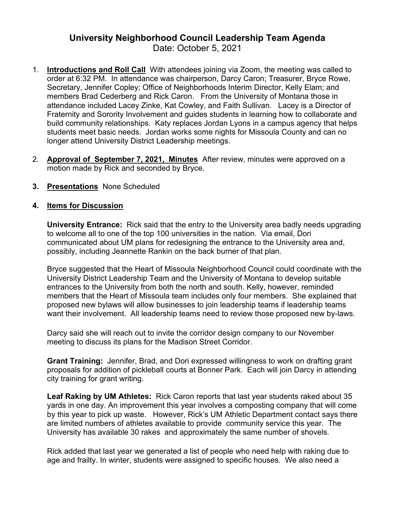## **University Neighborhood Council Leadership Team Agenda**

- Date: October 5, 2021
- 1. **Introductions and Roll Call** With attendees joining via Zoom, the meeting was called to order at 6:32 PM. In attendance was chairperson, Darcy Caron; Treasurer, Bryce Rowe, Secretary, Jennifer Copley; Office of Neighborhoods Interim Director, Kelly Elam; and members Brad Cederberg and Rick Caron. From the University of Montana those in attendance included Lacey Zinke, Kat Cowley, and Faith Sullivan. Lacey is a Director of Fraternity and Sorority Involvement and guides students in learning how to collaborate and build community relationships. Katy replaces Jordan Lyons in a campus agency that helps students meet basic needs. Jordan works some nights for Missoula County and can no longer attend University District Leadership meetings.
- 2. **Approval of [September 7, 2021,](https://www.ci.missoula.mt.us/Archive.aspx?ADID=16274) Minutes** After review, minutes were approved on a motion made by Rick and seconded by Bryce.
- **3. Presentations** None Scheduled

## **4. Items for Discussion**

**University Entrance:** Rick said that the entry to the University area badly needs upgrading to welcome all to one of the top 100 universities in the nation. Via email, Dori communicated about UM plans for redesigning the entrance to the University area and, possibly, including Jeannette Rankin on the back burner of that plan.

Bryce suggested that the Heart of Missoula Neighborhood Council could coordinate with the University District Leadership Team and the University of Montana to develop suitable entrances to the University from both the north and south. Kelly, however, reminded members that the Heart of Missoula team includes only four members. She explained that proposed new bylaws will allow businesses to join leadership teams if leadership teams want their involvement. All leadership teams need to review those proposed new by-laws.

Darcy said she will reach out to invite the corridor design company to our November meeting to discuss its plans for the Madison Street Corridor.

**Grant Training:** Jennifer, Brad, and Dori expressed willingness to work on drafting grant proposals for addition of pickleball courts at Bonner Park. Each will join Darcy in attending city training for grant writing.

**Leaf Raking by UM Athletes:** Rick Caron reports that last year students raked about 35 yards in one day. An improvement this year involves a composting company that will come by this year to pick up waste. However, Rick's UM Athletic Department contact says there are limited numbers of athletes available to provide community service this year. The University has available 30 rakes and approximately the same number of shovels.

Rick added that last year we generated a list of people who need help with raking due to age and frailty. In winter, students were assigned to specific houses. We also need a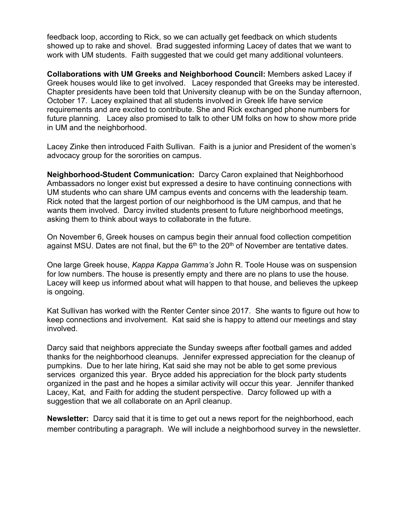feedback loop, according to Rick, so we can actually get feedback on which students showed up to rake and shovel. Brad suggested informing Lacey of dates that we want to work with UM students. Faith suggested that we could get many additional volunteers.

**Collaborations with UM Greeks and Neighborhood Council:** Members asked Lacey if Greek houses would like to get involved. Lacey responded that Greeks may be interested. Chapter presidents have been told that University cleanup with be on the Sunday afternoon, October 17. Lacey explained that all students involved in Greek life have service requirements and are excited to contribute. She and Rick exchanged phone numbers for future planning. Lacey also promised to talk to other UM folks on how to show more pride in UM and the neighborhood.

Lacey Zinke then introduced Faith Sullivan. Faith is a junior and President of the women's advocacy group for the sororities on campus.

**Neighborhood-Student Communication:** Darcy Caron explained that Neighborhood Ambassadors no longer exist but expressed a desire to have continuing connections with UM students who can share UM campus events and concerns with the leadership team. Rick noted that the largest portion of our neighborhood is the UM campus, and that he wants them involved. Darcy invited students present to future neighborhood meetings, asking them to think about ways to collaborate in the future.

On November 6, Greek houses on campus begin their annual food collection competition against MSU. Dates are not final, but the  $6<sup>th</sup>$  to the 20<sup>th</sup> of November are tentative dates.

One large Greek house, *Kappa Kappa Gamma's* John R. Toole House was on suspension for low numbers. The house is presently empty and there are no plans to use the house. Lacey will keep us informed about what will happen to that house, and believes the upkeep is ongoing.

Kat Sullivan has worked with the Renter Center since 2017. She wants to figure out how to keep connections and involvement. Kat said she is happy to attend our meetings and stay involved.

Darcy said that neighbors appreciate the Sunday sweeps after football games and added thanks for the neighborhood cleanups. Jennifer expressed appreciation for the cleanup of pumpkins. Due to her late hiring, Kat said she may not be able to get some previous services organized this year. Bryce added his appreciation for the block party students organized in the past and he hopes a similar activity will occur this year. Jennifer thanked Lacey, Kat, and Faith for adding the student perspective. Darcy followed up with a suggestion that we all collaborate on an April cleanup.

**Newsletter:** Darcy said that it is time to get out a news report for the neighborhood, each member contributing a paragraph. We will include a neighborhood survey in the newsletter.